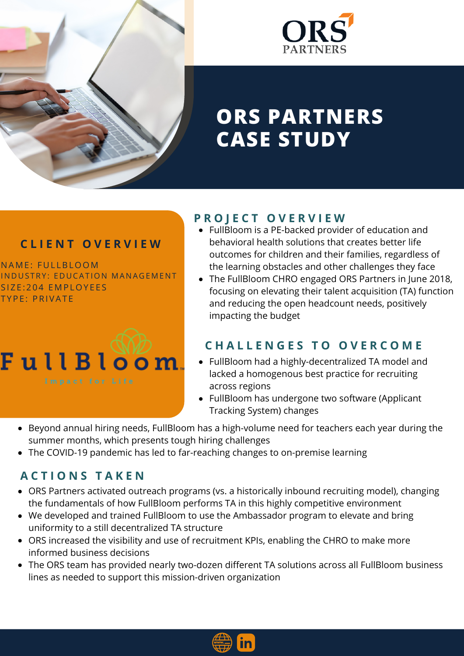



# **ORS PARTNERS CASE STUDY**

#### **C L I E N T O V E R V I E W**

NAME: FULLBLOOM INDUSTRY: EDUCATION MANAGEMENT SIZE: 204 EMPLOYEES TYPE: PRIVATE



#### **P R O J E C T O V E R V I E W**

- FullBloom is a PE-backed provider of education and behavioral health solutions that creates better life outcomes for children and their families, regardless of the learning obstacles and other challenges they face
- The FullBloom CHRO engaged ORS Partners in June 2018, focusing on elevating their talent acquisition (TA) function and reducing the open headcount needs, positively impacting the budget

## **C H A L L E N G E S T O O V E R C O M E**

- FullBloom had a highly-decentralized TA model and lacked a homogenous best practice for recruiting across regions
- FullBloom has undergone two software (Applicant Tracking System) changes
- Beyond annual hiring needs, FullBloom has a high-volume need for teachers each year during the summer months, which presents tough hiring challenges
- The COVID-19 pandemic has led to far-reaching changes to on-premise learning

## **A C T I O N S T A K E N**

- ORS Partners activated outreach programs (vs. a historically inbound recruiting model), changing the fundamentals of how FullBloom performs TA in this highly competitive environment
- We developed and trained FullBloom to use the Ambassador program to elevate and bring uniformity to a still decentralized TA structure
- ORS increased the visibility and use of recruitment KPIs, enabling the CHRO to make more informed business decisions
- The ORS team has provided nearly two-dozen different TA solutions across all FullBloom business lines as needed to support this mission-driven organization